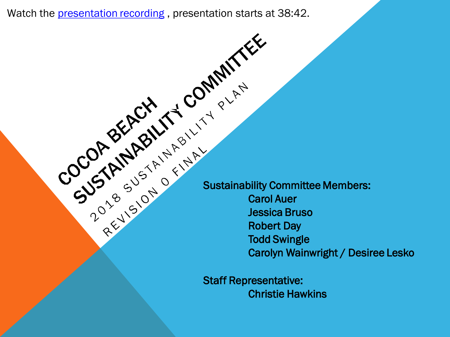Watch the <u>presentation recordin</u>g , [presentation](https://cocoabeach.granicus.com/MediaPlayer.php?view_id=4&clip_id=3336&meta_id=178273) starts at 38:42.

Sustainability Committee Members: Carol Auer Jessica Bruso Robert Day Todd Swingle Carolyn Wainwright / Desiree Lesko

Staff Representative: Christie Hawkins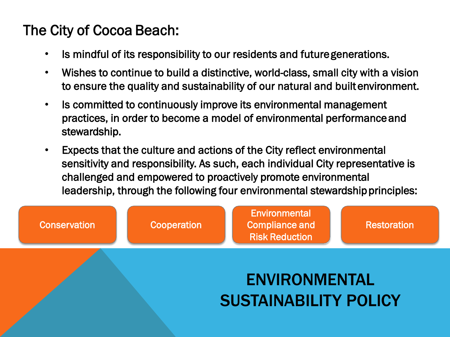### The City of Cocoa Beach:

- Is mindful of its responsibility to our residents and future generations.
- Wishes to continue to build a distinctive, world-class, small city with a vision to ensure the quality and sustainability of our natural and built environment.
- Is committed to continuously improve its environmental management practices, in order to become a model of environmental performance and stewardship.
- Expects that the culture and actions of the City reflect environmental sensitivity and responsibility. As such, each individual City representative is challenged and empowered to proactively promote environmental leadership, through the following four environmental stewardship principles:

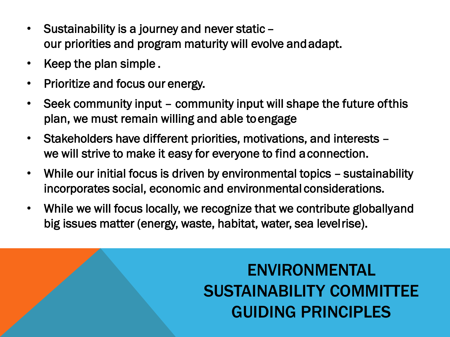- Sustainability is a journey and never static our priorities and program maturity will evolve and adapt.
- Keep the plan simple .
- Prioritize and focus our energy.
- Seek community input community input will shape the future of this plan, we must remain willing and able to engage
- Stakeholders have different priorities, motivations, and interests we will strive to make it easy for everyone to find a connection.
- While our initial focus is driven by environmental topics sustainability incorporates social, economic and environmental considerations.
- While we will focus locally, we recognize that we contribute globally and big issues matter (energy, waste, habitat, water, sea level rise).

# ENVIRONMENTAL SUSTAINABILITY COMMITTEE GUIDING PRINCIPLES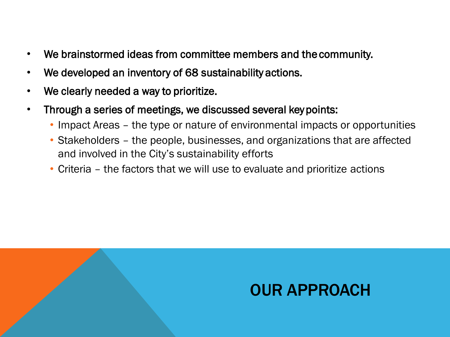- We brainstormed ideas from committee members and the community.
- We developed an inventory of 68 sustainability actions.
- We clearly needed a way to prioritize.
- Through a series of meetings, we discussed several key points:
	- Impact Areas the type or nature of environmental impacts or opportunities
	- Stakeholders the people, businesses, and organizations that are affected and involved in the City's sustainability efforts
	- Criteria the factors that we will use to evaluate and prioritize actions

# OUR APPROACH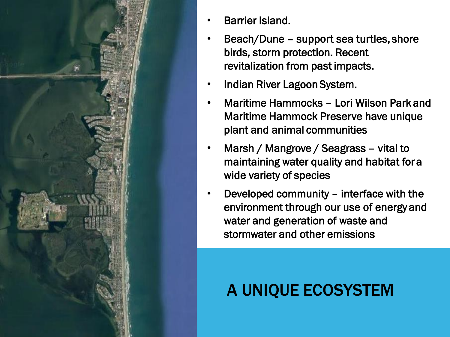

- Barrier Island.
- Beach/Dune support sea turtles, shore birds, storm protection. Recent revitalization from past impacts.
- Indian River Lagoon System.
- Maritime Hammocks Lori Wilson Park and Maritime Hammock Preserve have unique plant and animal communities
- Marsh / Mangrove / Seagrass vital to maintaining water quality and habitat for a wide variety of species
- Developed community interface with the environment through our use of energy and water and generation of waste and stormwater and other emissions

# A UNIQUE ECOSYSTEM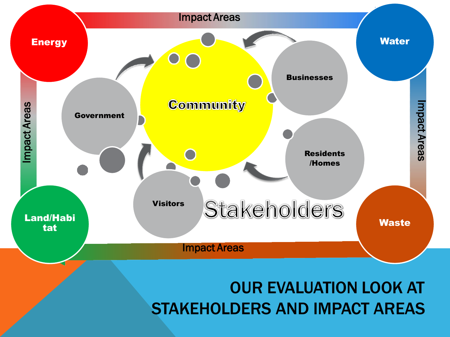

## OUR EVALUATION LOOK AT STAKEHOLDERS AND IMPACT AREAS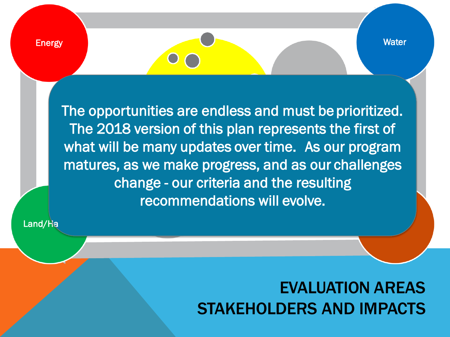The opportunities are endless and must be prioritized. The 2018 version of this plan represents the first of what will be many updates over time. As our program matures, as we make progress, and as our challenges change - our criteria and the resulting recommendations will evolve.

Land/Ha

## EVALUATION AREAS STAKEHOLDERS AND IMPACTS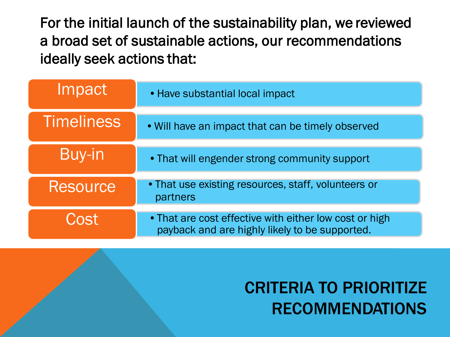For the initial launch of the sustainability plan, we reviewed a broad set of sustainable actions, our recommendations ideally seek actions that:

| Impact            | • Have substantial local impact                                                                          |
|-------------------|----------------------------------------------------------------------------------------------------------|
| <b>Timeliness</b> | • Will have an impact that can be timely observed                                                        |
| Buy-in            | • That will engender strong community support                                                            |
| <b>Resource</b>   | . That use existing resources, staff, volunteers or<br>partners                                          |
| Cost              | • That are cost effective with either low cost or high<br>payback and are highly likely to be supported. |

# CRITERIA TO PRIORITIZE RECOMMENDATIONS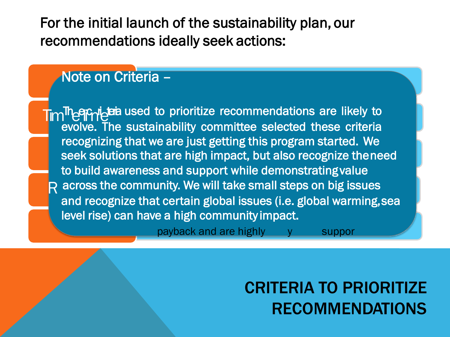For the initial launch of the sustainability plan, our recommendations ideally seek actions:

#### Note on Criteria –

Tim<sup>Th</sup>e **Philippis** used to prioritize recommendations are likely to evolve. The sustainability committee selected these criteria recognizing that we are just getting this program started. We seek solutions that are high impact, but also recognize the need to build awareness and support while demonstrating value R across the community. We will take small steps on big issues and recognize that certain global issues (i.e. global warming, sea level rise) can have a high community impact.

payback and are highly y suppor

CRITERIA TO PRIORITIZE RECOMMENDATIONS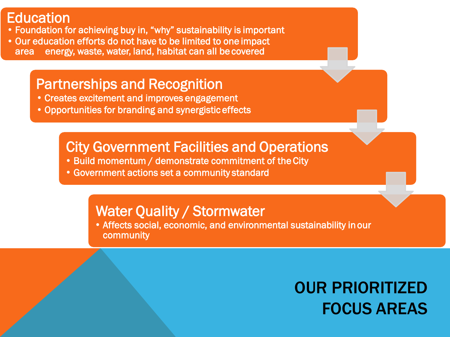Education<br>• Foundation for achieving buy in, "why" sustainability is important

• Our education efforts do not have to be limited to one impact area energy, waste, water, land, habitat can all be covered

#### Partnerships and Recognition

- Creates excitement and improves engagement
- Opportunities for branding and synergistic effects

#### City Government Facilities and Operations

- Build momentum / demonstrate commitment of the City
- Government actions set a community standard

#### Water Quality / Stormwater

• Affects social, economic, and environmental sustainability in our community

# OUR PRIORITIZED FOCUS AREAS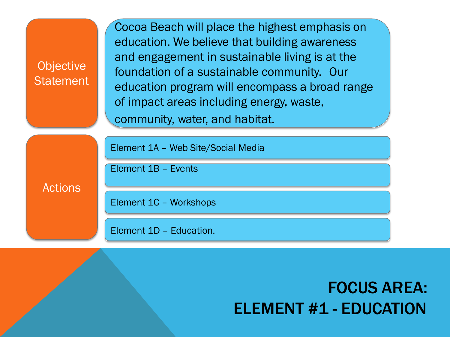| <b>Objective</b><br><b>Statement</b> | Cocoa Beach will place the highest emphasis on<br>education. We believe that building awareness<br>and engagement in sustainable living is at the<br>foundation of a sustainable community. Our<br>education program will encompass a broad range<br>of impact areas including energy, waste,<br>community, water, and habitat. |
|--------------------------------------|---------------------------------------------------------------------------------------------------------------------------------------------------------------------------------------------------------------------------------------------------------------------------------------------------------------------------------|
| <b>Actions</b>                       | Element 1A - Web Site/Social Media                                                                                                                                                                                                                                                                                              |
|                                      | Element 1B - Events                                                                                                                                                                                                                                                                                                             |
|                                      | Element 1C - Workshops                                                                                                                                                                                                                                                                                                          |
|                                      | Element 1D - Education.                                                                                                                                                                                                                                                                                                         |

# FOCUS AREA: ELEMENT #1 - EDUCATION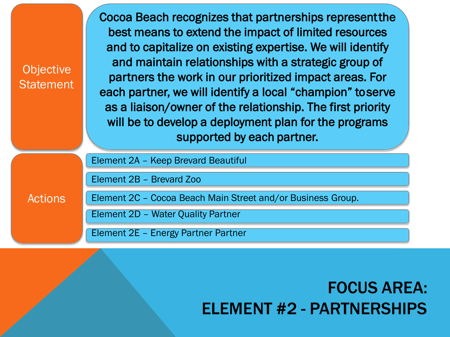**Objective Statement**  Cocoa Beach recognizes that partnerships represent the best means to extend the impact of limited resources and to capitalize on existing expertise. We will identify and maintain relationships with a strategic group of partners the work in our prioritized impact areas. For each partner, we will identify a local "champion" to serve as a liaison/owner of the relationship. The first priority will be to develop a deployment plan for the programs supported by each partner.

Element 2A – Keep Brevard Beautiful

Element 2B – Brevard Zoo

**Actions** 

Element 2C – Cocoa Beach Main Street and/or Business Group.

Element 2D – Water Quality Partner

Element 2E – Energy Partner Partner

## FOCUS AREA: ELEMENT #2 - PARTNERSHIPS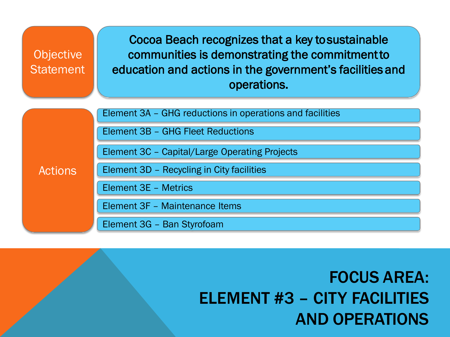| <b>Objective</b><br><b>Statement</b> | Cocoa Beach recognizes that a key to sustainable<br>communities is demonstrating the commitment to<br>education and actions in the government's facilities and<br>operations. |
|--------------------------------------|-------------------------------------------------------------------------------------------------------------------------------------------------------------------------------|
| <b>Actions</b>                       | Element 3A - GHG reductions in operations and facilities                                                                                                                      |
|                                      | Element 3B - GHG Fleet Reductions                                                                                                                                             |
|                                      | Element 3C - Capital/Large Operating Projects                                                                                                                                 |
|                                      | Element 3D - Recycling in City facilities                                                                                                                                     |
|                                      | <b>Element 3E - Metrics</b>                                                                                                                                                   |
|                                      | Element 3F - Maintenance Items                                                                                                                                                |
|                                      | Element 3G - Ban Styrofoam                                                                                                                                                    |

# FOCUS AREA: ELEMENT #3 – CITY FACILITIES AND OPERATIONS